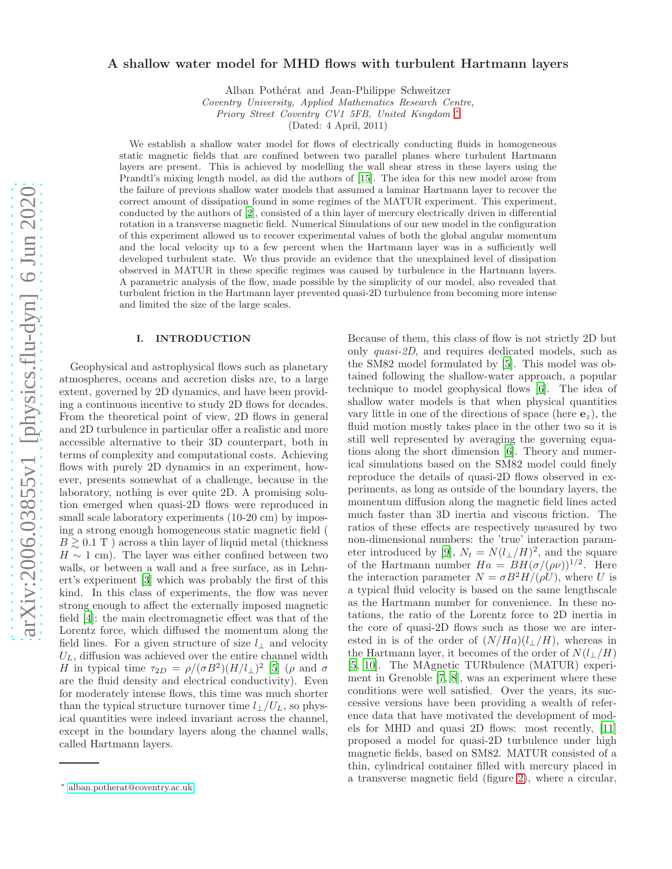# arXiv:2006.03855v1 [physics.flu-dyn] 6 Jun 2020 [arXiv:2006.03855v1 \[physics.flu-dyn\] 6 Jun 2020](http://arxiv.org/abs/2006.03855v1)

# A shallow water model for MHD flows with turbulent Hartmann layers

Alban Pothérat and Jean-Philippe Schweitzer

*Coventry University, Applied Mathematics Research Centre, Priory Street Coventry CV1 5FB, United Kingdom* [∗](#page-0-0)

(Dated: 4 April, 2011)

We establish a shallow water model for flows of electrically conducting fluids in homogeneous static magnetic fields that are confined between two parallel planes where turbulent Hartmann layers are present. This is achieved by modelling the wall shear stress in these layers using the Prandtl's mixing length model, as did the authors of [\[15](#page-11-0)]. The idea for this new model arose from the failure of previous shallow water models that assumed a laminar Hartmann layer to recover the correct amount of dissipation found in some regimes of the MATUR experiment. This experiment, conducted by the authors of [\[2](#page-11-1)], consisted of a thin layer of mercury electrically driven in differential rotation in a transverse magnetic field. Numerical Simulations of our new model in the configuration of this experiment allowed us to recover experimental values of both the global angular momentum and the local velocity up to a few percent when the Hartmann layer was in a sufficiently well developed turbulent state. We thus provide an evidence that the unexplained level of dissipation observed in MATUR in these specific regimes was caused by turbulence in the Hartmann layers. A parametric analysis of the flow, made possible by the simplicity of our model, also revealed that turbulent friction in the Hartmann layer prevented quasi-2D turbulence from becoming more intense and limited the size of the large scales.

# <span id="page-0-1"></span>I. INTRODUCTION

Geophysical and astrophysical flows such as planetary atmospheres, oceans and accretion disks are, to a large extent, governed by 2D dynamics, and have been providing a continuous incentive to study 2D flows for decades. From the theoretical point of view, 2D flows in general and 2D turbulence in particular offer a realistic and more accessible alternative to their 3D counterpart, both in terms of complexity and computational costs. Achieving flows with purely 2D dynamics in an experiment, however, presents somewhat of a challenge, because in the laboratory, nothing is ever quite 2D. A promising solution emerged when quasi-2D flows were reproduced in small scale laboratory experiments (10-20 cm) by imposing a strong enough homogeneous static magnetic field (  $B \geq 0.1$  T ) across a thin layer of liquid metal (thickness  $H \sim 1$  cm). The layer was either confined between two walls, or between a wall and a free surface, as in Lehnert's experiment [\[3](#page-11-2)] which was probably the first of this kind. In this class of experiments, the flow was never strong enough to affect the externally imposed magnetic field [\[4](#page-11-3)]: the main electromagnetic effect was that of the Lorentz force, which diffused the momentum along the field lines. For a given structure of size  $l_{\perp}$  and velocity  $U_L$ , diffusion was achieved over the entire channel width H in typical time  $\tau_{2D} = \rho/(\sigma B^2)(H/l_{\perp})^2$  [\[5\]](#page-11-4) ( $\rho$  and  $\sigma$ are the fluid density and electrical conductivity). Even for moderately intense flows, this time was much shorter than the typical structure turnover time  $l_{\perp}/U_L$ , so physical quantities were indeed invariant across the channel, except in the boundary layers along the channel walls, called Hartmann layers.

Because of them, this class of flow is not strictly 2D but only quasi-2D, and requires dedicated models, such as the SM82 model formulated by [\[5](#page-11-4)]. This model was obtained following the shallow-water approach, a popular technique to model geophysical flows [\[6\]](#page-11-5). The idea of shallow water models is that when physical quantities vary little in one of the directions of space (here  $e_z$ ), the fluid motion mostly takes place in the other two so it is still well represented by averaging the governing equations along the short dimension [\[6\]](#page-11-5). Theory and numerical simulations based on the SM82 model could finely reproduce the details of quasi-2D flows observed in experiments, as long as outside of the boundary layers, the momentum diffusion along the magnetic field lines acted much faster than 3D inertia and viscous friction. The ratios of these effects are respectively measured by two non-dimensional numbers: the 'true' interaction param-eter introduced by [\[9\]](#page-11-6),  $N_t = N(l_{\perp}/H)^2$ , and the square of the Hartmann number  $Ha = BH(\sigma/(\rho\nu))^{1/2}$ . Here the interaction parameter  $N = \sigma B^2 H/(\rho U)$ , where U is a typical fluid velocity is based on the same lengthscale as the Hartmann number for convenience. In these notations, the ratio of the Lorentz force to 2D inertia in the core of quasi-2D flows such as those we are interested in is of the order of  $(N/Ha)(l_{\perp}/H)$ , whereas in the Hartmann layer, it becomes of the order of  $N(l_{\perp}/H)$ [\[5,](#page-11-4) [10\]](#page-11-7). The MAgnetic TURbulence (MATUR) experiment in Grenoble [\[7](#page-11-8), [8](#page-11-9)], was an experiment where these conditions were well satisfied. Over the years, its successive versions have been providing a wealth of reference data that have motivated the development of models for MHD and quasi 2D flows: most recently, [\[11](#page-11-10)] proposed a model for quasi-2D turbulence under high magnetic fields, based on SM82. MATUR consisted of a thin, cylindrical container filled with mercury placed in a transverse magnetic field (figure [2\)](#page-4-0), where a circular,

<span id="page-0-0"></span><sup>∗</sup> [alban.potherat@coventry.ac.uk](mailto:alban.potherat@coventry.ac.uk)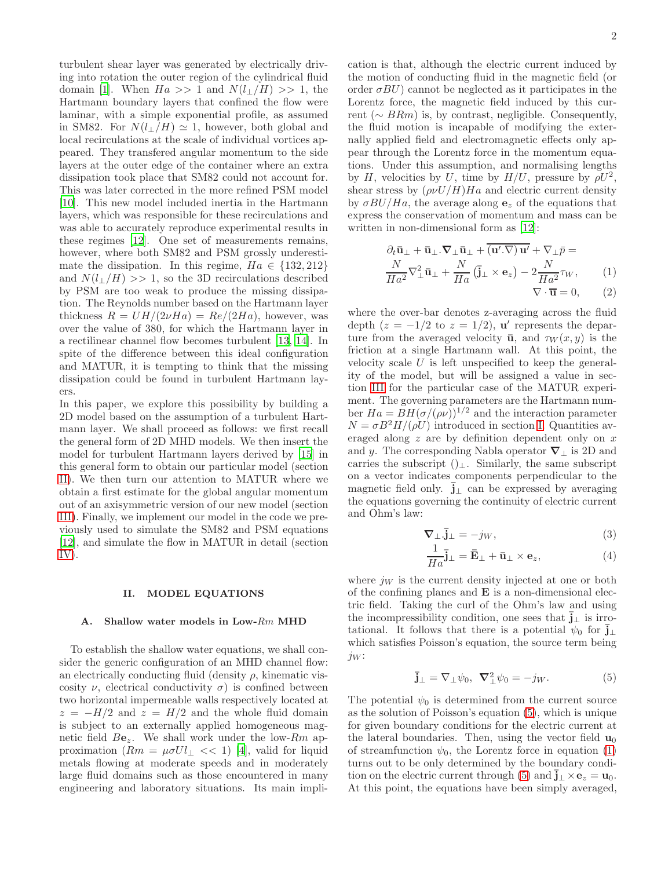turbulent shear layer was generated by electrically driving into rotation the outer region of the cylindrical fluid domain [\[1](#page-11-11)]. When  $Ha \gg 1$  and  $N(l_{\perp}/H) \gg 1$ , the Hartmann boundary layers that confined the flow were laminar, with a simple exponential profile, as assumed in SM82. For  $N(l_{\perp}/H) \simeq 1$ , however, both global and local recirculations at the scale of individual vortices appeared. They transfered angular momentum to the side layers at the outer edge of the container where an extra dissipation took place that SM82 could not account for. This was later corrected in the more refined PSM model [\[10\]](#page-11-7). This new model included inertia in the Hartmann layers, which was responsible for these recirculations and was able to accurately reproduce experimental results in these regimes [\[12\]](#page-11-12). One set of measurements remains, however, where both SM82 and PSM grossly underestimate the dissipation. In this regime,  $Ha \in \{132, 212\}$ and  $N(l_{\perp}/H) >> 1$ , so the 3D recirculations described by PSM are too weak to produce the missing dissipation. The Reynolds number based on the Hartmann layer thickness  $R = UH/(2\nu Ha) = Re/(2Ha)$ , however, was over the value of 380, for which the Hartmann layer in a rectilinear channel flow becomes turbulent [\[13,](#page-11-13) [14\]](#page-11-14). In spite of the difference between this ideal configuration and MATUR, it is tempting to think that the missing dissipation could be found in turbulent Hartmann layers.

In this paper, we explore this possibility by building a 2D model based on the assumption of a turbulent Hartmann layer. We shall proceed as follows: we first recall the general form of 2D MHD models. We then insert the model for turbulent Hartmann layers derived by [\[15](#page-11-0)] in this general form to obtain our particular model (section [II\)](#page-1-0). We then turn our attention to MATUR where we obtain a first estimate for the global angular momentum out of an axisymmetric version of our new model (section [III\)](#page-3-0). Finally, we implement our model in the code we previously used to simulate the SM82 and PSM equations [\[12\]](#page-11-12), and simulate the flow in MATUR in detail (section [IV\)](#page-5-0).

### <span id="page-1-0"></span>II. MODEL EQUATIONS

### A. Shallow water models in Low-Rm MHD

To establish the shallow water equations, we shall consider the generic configuration of an MHD channel flow: an electrically conducting fluid (density  $\rho$ , kinematic viscosity  $\nu$ , electrical conductivity  $\sigma$ ) is confined between two horizontal impermeable walls respectively located at  $z = -H/2$  and  $z = H/2$  and the whole fluid domain is subject to an externally applied homogeneous magnetic field  $Be_z$ . We shall work under the low-Rm approximation  $(Rm = \mu \sigma Ul_{\perp} << 1)$  [\[4\]](#page-11-3), valid for liquid metals flowing at moderate speeds and in moderately large fluid domains such as those encountered in many engineering and laboratory situations. Its main implication is that, although the electric current induced by the motion of conducting fluid in the magnetic field (or order  $\sigma BU$ ) cannot be neglected as it participates in the Lorentz force, the magnetic field induced by this current ( $\sim$  BRm) is, by contrast, negligible. Consequently, the fluid motion is incapable of modifying the externally applied field and electromagnetic effects only appear through the Lorentz force in the momentum equations. Under this assumption, and normalising lengths by H, velocities by U, time by  $H/U$ , pressure by  $\rho U^2$ , shear stress by  $(\rho\nu U/H)Ha$  and electric current density by  $\sigma B U/Ha$ , the average along  $e_z$  of the equations that express the conservation of momentum and mass can be written in non-dimensional form as [\[12](#page-11-12)]:

<span id="page-1-2"></span>
$$
\frac{\partial_t \bar{\mathbf{u}}_{\perp} + \bar{\mathbf{u}}_{\perp} \cdot \nabla_{\perp} \bar{\mathbf{u}}_{\perp} + \overline{(\mathbf{u}' \cdot \nabla) \mathbf{u}'} + \nabla_{\perp} \bar{p} = \frac{N}{Ha^2} \nabla_{\perp}^2 \bar{\mathbf{u}}_{\perp} + \frac{N}{Ha} (\bar{\mathbf{j}}_{\perp} \times \mathbf{e}_z) - 2 \frac{N}{Ha^2} \tau_W, \qquad (1) \nabla \cdot \bar{\mathbf{u}} = 0, \qquad (2)
$$

where the over-bar denotes z-averaging across the fluid depth  $(z = -1/2$  to  $z = 1/2$ ), **u'** represents the departure from the averaged velocity  $\bar{u}$ , and  $\tau_W(x, y)$  is the friction at a single Hartmann wall. At this point, the velocity scale  $U$  is left unspecified to keep the generality of the model, but will be assigned a value in section [III](#page-3-0) for the particular case of the MATUR experiment. The governing parameters are the Hartmann number  $Ha = BH(\sigma/(\rho\nu))^{1/2}$  and the interaction parameter  $N = \sigma B^2 H/(\rho U)$  introduced in section [I.](#page-0-1) Quantities averaged along z are by definition dependent only on x and y. The corresponding Nabla operator  $\nabla_{\perp}$  is 2D and carries the subscript  $()$ <sub>⊥</sub>. Similarly, the same subscript on a vector indicates components perpendicular to the magnetic field only.  $\mathbf{j}_\perp$  can be expressed by averaging the equations governing the continuity of electric current and Ohm's law:

$$
\nabla_{\perp} \cdot \overline{\mathbf{j}}_{\perp} = -j_W,\tag{3}
$$

$$
\frac{1}{Ha}\overline{\mathbf{j}}_{\perp} = \overline{\mathbf{E}}_{\perp} + \overline{\mathbf{u}}_{\perp} \times \mathbf{e}_z, \tag{4}
$$

where  $j_W$  is the current density injected at one or both of the confining planes and  $E$  is a non-dimensional electric field. Taking the curl of the Ohm's law and using the incompressibility condition, one sees that  $\mathbf{j}_\perp$  is irrotational. It follows that there is a potential  $\psi_0$  for  $\mathbf{j}_\perp$ which satisfies Poisson's equation, the source term being  $j_W$ :

<span id="page-1-1"></span>
$$
\overline{\mathbf{j}}_{\perp} = \nabla_{\perp} \psi_0, \ \ \nabla_{\perp}^2 \psi_0 = -j_W. \tag{5}
$$

The potential  $\psi_0$  is determined from the current source as the solution of Poisson's equation [\(5\)](#page-1-1), which is unique for given boundary conditions for the electric current at the lateral boundaries. Then, using the vector field  $\mathbf{u}_0$ of streamfunction  $\psi_0$ , the Lorentz force in equation [\(1\)](#page-1-2) turns out to be only determined by the boundary condi-tion on the electric current through [\(5\)](#page-1-1) and  $\mathbf{j}_\perp \times \mathbf{e}_z = \mathbf{u}_0$ . At this point, the equations have been simply averaged,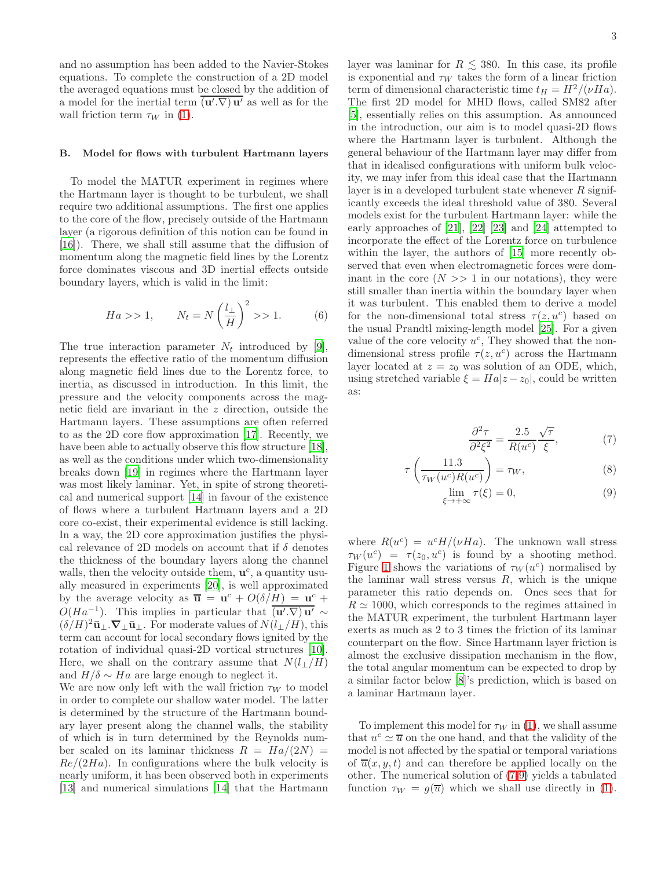and no assumption has been added to the Navier-Stokes equations. To complete the construction of a 2D model the averaged equations must be closed by the addition of a model for the inertial term  $(\mathbf{u}'\cdot\nabla)\mathbf{u}'$  as well as for the wall friction term  $\tau_W$  in [\(1\)](#page-1-2).

### <span id="page-2-1"></span>B. Model for flows with turbulent Hartmann layers

To model the MATUR experiment in regimes where the Hartmann layer is thought to be turbulent, we shall require two additional assumptions. The first one applies to the core of the flow, precisely outside of the Hartmann layer (a rigorous definition of this notion can be found in [\[16\]](#page-11-15)). There, we shall still assume that the diffusion of momentum along the magnetic field lines by the Lorentz force dominates viscous and 3D inertial effects outside boundary layers, which is valid in the limit:

<span id="page-2-2"></span>
$$
Ha \gg 1, \qquad N_t = N\left(\frac{l_\perp}{H}\right)^2 \gg 1. \tag{6}
$$

The true interaction parameter  $N_t$  introduced by [\[9\]](#page-11-6). represents the effective ratio of the momentum diffusion along magnetic field lines due to the Lorentz force, to inertia, as discussed in introduction. In this limit, the pressure and the velocity components across the magnetic field are invariant in the z direction, outside the Hartmann layers. These assumptions are often referred to as the 2D core flow approximation [\[17\]](#page-11-16). Recently, we have been able to actually observe this flow structure [\[18\]](#page-11-17), as well as the conditions under which two-dimensionality breaks down [\[19\]](#page-11-18) in regimes where the Hartmann layer was most likely laminar. Yet, in spite of strong theoretical and numerical support [\[14\]](#page-11-14) in favour of the existence of flows where a turbulent Hartmann layers and a 2D core co-exist, their experimental evidence is still lacking. In a way, the 2D core approximation justifies the physical relevance of 2D models on account that if  $\delta$  denotes the thickness of the boundary layers along the channel walls, then the velocity outside them,  $\mathbf{u}^c$ , a quantity usually measured in experiments [\[20\]](#page-11-19), is well approximated by the average velocity as  $\overline{\mathbf{u}} = \mathbf{u}^c + O(\delta/H) = \mathbf{u}^c +$  $O(Ha^{-1})$ . This implies in particular that  $\overline{(\mathbf{u}',\nabla)\mathbf{u}'} \sim$  $(\delta/H)^2 \bar{\mathbf{u}}_\perp \cdot \nabla_\perp \bar{\mathbf{u}}_\perp$ . For moderate values of  $N(l_\perp/H)$ , this term can account for local secondary flows ignited by the rotation of individual quasi-2D vortical structures [\[10\]](#page-11-7). Here, we shall on the contrary assume that  $N(l_{\perp}/H)$ and  $H/\delta \sim Ha$  are large enough to neglect it.

We are now only left with the wall friction  $\tau_W$  to model in order to complete our shallow water model. The latter is determined by the structure of the Hartmann boundary layer present along the channel walls, the stability of which is in turn determined by the Reynolds number scaled on its laminar thickness  $R = Ha/(2N)$  $Re/(2Ha)$ . In configurations where the bulk velocity is nearly uniform, it has been observed both in experiments [\[13\]](#page-11-13) and numerical simulations [\[14\]](#page-11-14) that the Hartmann

layer was laminar for  $R \lesssim 380$ . In this case, its profile is exponential and  $\tau_W$  takes the form of a linear friction term of dimensional characteristic time  $t_H = H^2/(\nu Ha)$ . The first 2D model for MHD flows, called SM82 after [\[5\]](#page-11-4), essentially relies on this assumption. As announced in the introduction, our aim is to model quasi-2D flows where the Hartmann layer is turbulent. Although the general behaviour of the Hartmann layer may differ from that in idealised configurations with uniform bulk velocity, we may infer from this ideal case that the Hartmann layer is in a developed turbulent state whenever  $R$  significantly exceeds the ideal threshold value of 380. Several models exist for the turbulent Hartmann layer: while the early approaches of [\[21](#page-11-20)], [\[22](#page-11-21)] [\[23](#page-11-22)] and [\[24](#page-11-23)] attempted to incorporate the effect of the Lorentz force on turbulence within the layer, the authors of [\[15](#page-11-0)] more recently observed that even when electromagnetic forces were dominant in the core  $(N \gg 1)$  in our notations), they were still smaller than inertia within the boundary layer when it was turbulent. This enabled them to derive a model for the non-dimensional total stress  $\tau(z, u^c)$  based on the usual Prandtl mixing-length model [\[25\]](#page-11-24). For a given value of the core velocity  $u^c$ , They showed that the nondimensional stress profile  $\tau(z, u^c)$  across the Hartmann layer located at  $z = z_0$  was solution of an ODE, which, using stretched variable  $\xi = Ha |z - z_0|$ , could be written as:

<span id="page-2-0"></span>
$$
\frac{\partial^2 \tau}{\partial^2 \xi^2} = \frac{2.5}{R(u^c)} \frac{\sqrt{\tau}}{\xi},\tag{7}
$$

$$
\tau\left(\frac{11.3}{\tau_W(u^c)R(u^c)}\right) = \tau_W,\tag{8}
$$

$$
\lim_{\xi \to +\infty} \tau(\xi) = 0,\tag{9}
$$

where  $R(u^c) = u^c H/(\nu H a)$ . The unknown wall stress  $\tau_W(u^c) = \tau(z_0, u^c)$  is found by a shooting method. Figure [1](#page-3-1) shows the variations of  $\tau_W(u^c)$  normalised by the laminar wall stress versus  $R$ , which is the unique parameter this ratio depends on. Ones sees that for  $R \simeq 1000$ , which corresponds to the regimes attained in the MATUR experiment, the turbulent Hartmann layer exerts as much as 2 to 3 times the friction of its laminar counterpart on the flow. Since Hartmann layer friction is almost the exclusive dissipation mechanism in the flow, the total angular momentum can be expected to drop by a similar factor below [\[8\]](#page-11-9)'s prediction, which is based on a laminar Hartmann layer.

To implement this model for  $\tau_W$  in [\(1\)](#page-1-2), we shall assume that  $u^c \simeq \overline{u}$  on the one hand, and that the validity of the model is not affected by the spatial or temporal variations of  $\overline{u}(x, y, t)$  and can therefore be applied locally on the other. The numerical solution of [\(7-9\)](#page-2-0) yields a tabulated function  $\tau_W = g(\overline{u})$  which we shall use directly in [\(1\)](#page-1-2).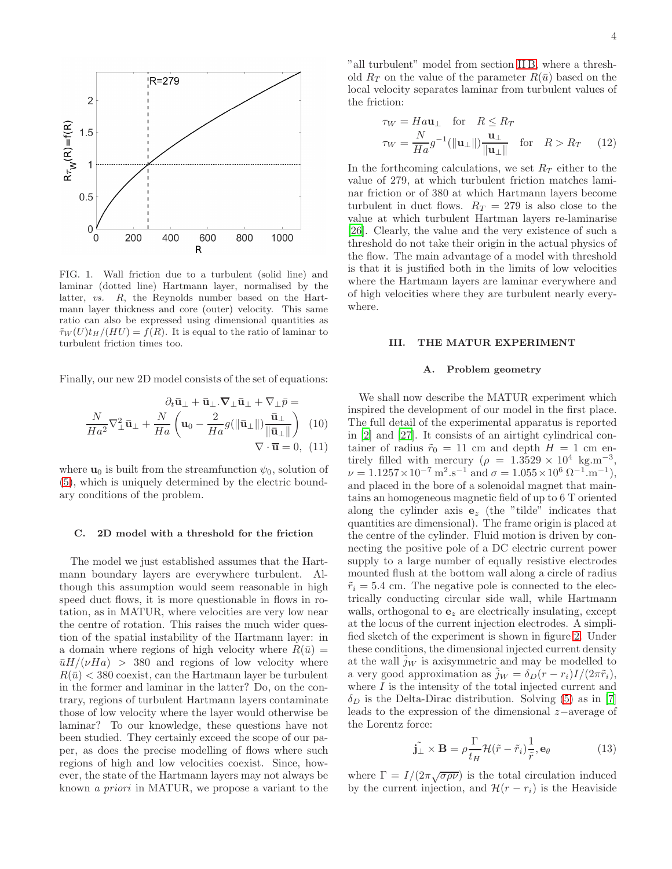

<span id="page-3-1"></span>FIG. 1. Wall friction due to a turbulent (solid line) and laminar (dotted line) Hartmann layer, normalised by the latter, *vs.* R, the Reynolds number based on the Hartmann layer thickness and core (outer) velocity. This same ratio can also be expressed using dimensional quantities as  $\tilde{\tau}_W(U)t_H/(HU) = f(R)$ . It is equal to the ratio of laminar to turbulent friction times too.

Finally, our new 2D model consists of the set of equations:

<span id="page-3-2"></span>
$$
\frac{\partial_t \bar{\mathbf{u}}_{\perp} + \bar{\mathbf{u}}_{\perp} \cdot \nabla_{\perp} \bar{\mathbf{u}}_{\perp} + \nabla_{\perp} \bar{p}}{Ha^2} \nabla_{\perp}^2 \bar{\mathbf{u}}_{\perp} + \frac{N}{Ha} \left( \mathbf{u}_0 - \frac{2}{Ha} g(||\bar{\mathbf{u}}_{\perp}||) \frac{\bar{\mathbf{u}}_{\perp}}{||\bar{\mathbf{u}}_{\perp}||} \right) \quad (10)
$$

$$
\nabla \cdot \bar{\mathbf{u}} = 0, \quad (11)
$$

where  $\mathbf{u}_0$  is built from the streamfunction  $\psi_0$ , solution of [\(5\)](#page-1-1), which is uniquely determined by the electric boundary conditions of the problem.

# C. 2D model with a threshold for the friction

The model we just established assumes that the Hartmann boundary layers are everywhere turbulent. Although this assumption would seem reasonable in high speed duct flows, it is more questionable in flows in rotation, as in MATUR, where velocities are very low near the centre of rotation. This raises the much wider question of the spatial instability of the Hartmann layer: in a domain where regions of high velocity where  $R(\bar{u}) =$  $\bar{u}H/(\nu Ha)$  > 380 and regions of low velocity where  $R(\bar{u}) < 380$  coexist, can the Hartmann layer be turbulent in the former and laminar in the latter? Do, on the contrary, regions of turbulent Hartmann layers contaminate those of low velocity where the layer would otherwise be laminar? To our knowledge, these questions have not been studied. They certainly exceed the scope of our paper, as does the precise modelling of flows where such regions of high and low velocities coexist. Since, however, the state of the Hartmann layers may not always be known a priori in MATUR, we propose a variant to the

"all turbulent" model from section [II B,](#page-2-1) where a threshold  $R_T$  on the value of the parameter  $R(\bar{u})$  based on the local velocity separates laminar from turbulent values of the friction:

$$
\tau_W = H a \mathbf{u}_{\perp} \quad \text{for} \quad R \le R_T
$$
  

$$
\tau_W = \frac{N}{H a} g^{-1} (\|\mathbf{u}_{\perp}\|) \frac{\mathbf{u}_{\perp}}{\|\mathbf{u}_{\perp}\|} \quad \text{for} \quad R > R_T \quad (12)
$$

In the forthcoming calculations, we set  $R_T$  either to the value of 279, at which turbulent friction matches laminar friction or of 380 at which Hartmann layers become turbulent in duct flows.  $R_T = 279$  is also close to the value at which turbulent Hartman layers re-laminarise [\[26\]](#page-12-0). Clearly, the value and the very existence of such a threshold do not take their origin in the actual physics of the flow. The main advantage of a model with threshold is that it is justified both in the limits of low velocities where the Hartmann layers are laminar everywhere and of high velocities where they are turbulent nearly everywhere.

# <span id="page-3-0"></span>III. THE MATUR EXPERIMENT

### A. Problem geometry

We shall now describe the MATUR experiment which inspired the development of our model in the first place. The full detail of the experimental apparatus is reported in [\[2\]](#page-11-1) and [\[27](#page-12-1)]. It consists of an airtight cylindrical container of radius  $\tilde{r}_0 = 11$  cm and depth  $H = 1$  cm entirely filled with mercury  $(\rho = 1.3529 \times 10^4 \text{ kg.m}^{-3})$  $\nu = 1.1257 \times 10^{-7} \,\mathrm{m}^2 \,\mathrm{s}^{-1}$  and  $\sigma = 1.055 \times 10^6 \,\Omega^{-1} \,\mathrm{m}^{-1}$ ), and placed in the bore of a solenoidal magnet that maintains an homogeneous magnetic field of up to 6 T oriented along the cylinder axis  $e_z$  (the "tilde" indicates that quantities are dimensional). The frame origin is placed at the centre of the cylinder. Fluid motion is driven by connecting the positive pole of a DC electric current power supply to a large number of equally resistive electrodes mounted flush at the bottom wall along a circle of radius  $\tilde{r}_i = 5.4$  cm. The negative pole is connected to the electrically conducting circular side wall, while Hartmann walls, orthogonal to  $e_z$  are electrically insulating, except at the locus of the current injection electrodes. A simplified sketch of the experiment is shown in figure [2.](#page-4-0) Under these conditions, the dimensional injected current density at the wall  $\tilde{j}_W$  is axisymmetric and may be modelled to a very good approximation as  $j_W = \delta_D(r - r_i)I/(2\pi\tilde{r}_i)$ , where  $I$  is the intensity of the total injected current and  $\delta_D$  is the Delta-Dirac distribution. Solving [\(5\)](#page-1-1) as in [\[7](#page-11-8)] leads to the expression of the dimensional z−average of the Lorentz force:

$$
\tilde{\mathbf{j}_{\perp}} \times \mathbf{B} = \rho \frac{\Gamma}{t_H} \mathcal{H} (\tilde{r} - \tilde{r}_i) \frac{1}{\tilde{r}}, \mathbf{e}_{\theta} \tag{13}
$$

where  $\Gamma = I/(2\pi\sqrt{\sigma\rho\nu})$  is the total circulation induced by the current injection, and  $\mathcal{H}(r-r_i)$  is the Heaviside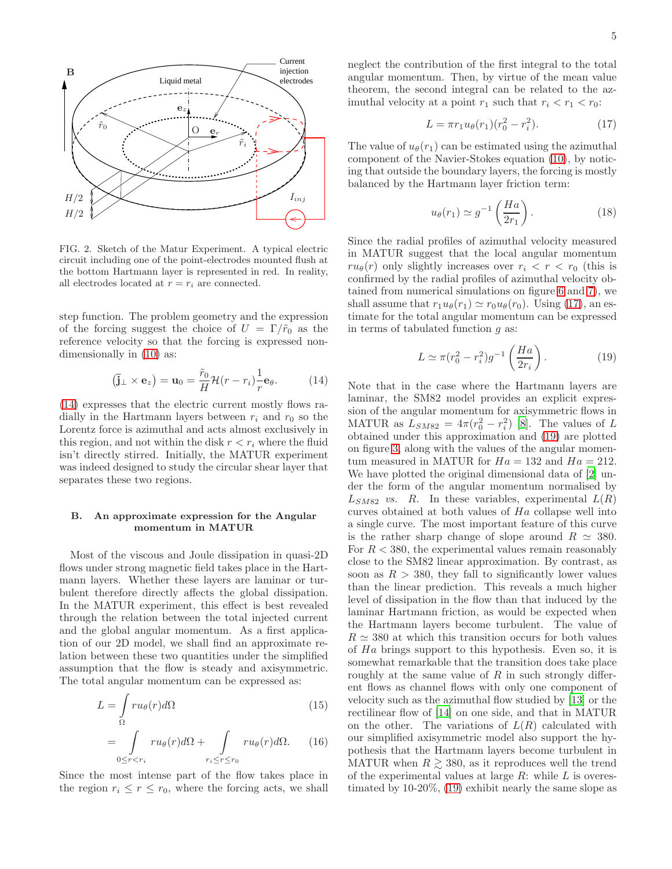

<span id="page-4-0"></span>FIG. 2. Sketch of the Matur Experiment. A typical electric circuit including one of the point-electrodes mounted flush at the bottom Hartmann layer is represented in red. In reality, all electrodes located at  $r = r_i$  are connected.

step function. The problem geometry and the expression of the forcing suggest the choice of  $U = \Gamma/\tilde{r}_0$  as the reference velocity so that the forcing is expressed nondimensionally in [\(10\)](#page-3-2) as:

<span id="page-4-1"></span>
$$
(\mathbf{j}_{\perp} \times \mathbf{e}_z) = \mathbf{u}_0 = \frac{\tilde{r}_0}{H} \mathcal{H}(r - r_i) \frac{1}{r} \mathbf{e}_\theta.
$$
 (14)

[\(14\)](#page-4-1) expresses that the electric current mostly flows radially in the Hartmann layers between  $r_i$  and  $r_0$  so the Lorentz force is azimuthal and acts almost exclusively in this region, and not within the disk  $r < r<sub>i</sub>$  where the fluid isn't directly stirred. Initially, the MATUR experiment was indeed designed to study the circular shear layer that separates these two regions.

# <span id="page-4-4"></span>B. An approximate expression for the Angular momentum in MATUR

Most of the viscous and Joule dissipation in quasi-2D flows under strong magnetic field takes place in the Hartmann layers. Whether these layers are laminar or turbulent therefore directly affects the global dissipation. In the MATUR experiment, this effect is best revealed through the relation between the total injected current and the global angular momentum. As a first application of our 2D model, we shall find an approximate relation between these two quantities under the simplified assumption that the flow is steady and axisymmetric. The total angular momentum can be expressed as:

$$
L = \int_{\Omega} ru_{\theta}(r)d\Omega
$$
 (15)  

$$
= \int_{0 \le r < r_i} ru_{\theta}(r)d\Omega + \int_{r_i \le r \le r_0} ru_{\theta}(r)d\Omega.
$$
 (16)

Since the most intense part of the flow takes place in the region  $r_i \leq r \leq r_0$ , where the forcing acts, we shall neglect the contribution of the first integral to the total angular momentum. Then, by virtue of the mean value theorem, the second integral can be related to the azimuthal velocity at a point  $r_1$  such that  $r_i < r_1 < r_0$ :

<span id="page-4-2"></span>
$$
L = \pi r_1 u_\theta(r_1)(r_0^2 - r_i^2). \tag{17}
$$

The value of  $u_{\theta}(r_1)$  can be estimated using the azimuthal component of the Navier-Stokes equation [\(10\)](#page-3-2), by noticing that outside the boundary layers, the forcing is mostly balanced by the Hartmann layer friction term:

$$
u_{\theta}(r_1) \simeq g^{-1}\left(\frac{Ha}{2r_1}\right). \tag{18}
$$

Since the radial profiles of azimuthal velocity measured in MATUR suggest that the local angular momentum  $ru_{\theta}(r)$  only slightly increases over  $r_i < r < r_0$  (this is confirmed by the radial profiles of azimuthal velocity obtained from numerical simulations on figure [6](#page-8-0) and [7\)](#page-9-0), we shall assume that  $r_1u_\theta(r_1) \simeq r_0u_\theta(r_0)$ . Using [\(17\)](#page-4-2), an estimate for the total angular momentum can be expressed in terms of tabulated function  $q$  as:

<span id="page-4-3"></span>
$$
L \simeq \pi (r_0^2 - r_i^2) g^{-1} \left(\frac{Ha}{2r_i}\right). \tag{19}
$$

Note that in the case where the Hartmann layers are laminar, the SM82 model provides an explicit expression of the angular momentum for axisymmetric flows in MATUR as  $L_{SM82} = 4\pi (r_0^2 - r_i^2)$  [\[8](#page-11-9)]. The values of L obtained under this approximation and [\(19\)](#page-4-3) are plotted on figure [3,](#page-5-1) along with the values of the angular momentum measured in MATUR for  $Ha = 132$  and  $Ha = 212$ . We have plotted the original dimensional data of [\[2\]](#page-11-1) under the form of the angular momentum normalised by  $L_{SM82}$  vs. R. In these variables, experimental  $L(R)$ curves obtained at both values of Ha collapse well into a single curve. The most important feature of this curve is the rather sharp change of slope around  $R \simeq 380$ . For  $R < 380$ , the experimental values remain reasonably close to the SM82 linear approximation. By contrast, as soon as  $R > 380$ , they fall to significantly lower values than the linear prediction. This reveals a much higher level of dissipation in the flow than that induced by the laminar Hartmann friction, as would be expected when the Hartmann layers become turbulent. The value of  $R \simeq 380$  at which this transition occurs for both values of Ha brings support to this hypothesis. Even so, it is somewhat remarkable that the transition does take place roughly at the same value of  $R$  in such strongly different flows as channel flows with only one component of velocity such as the azimuthal flow studied by [\[13\]](#page-11-13) or the rectilinear flow of [\[14\]](#page-11-14) on one side, and that in MATUR on the other. The variations of  $L(R)$  calculated with our simplified axisymmetric model also support the hypothesis that the Hartmann layers become turbulent in MATUR when  $R \geq 380$ , as it reproduces well the trend of the experimental values at large  $R$ : while  $L$  is overestimated by 10-20%, [\(19\)](#page-4-3) exhibit nearly the same slope as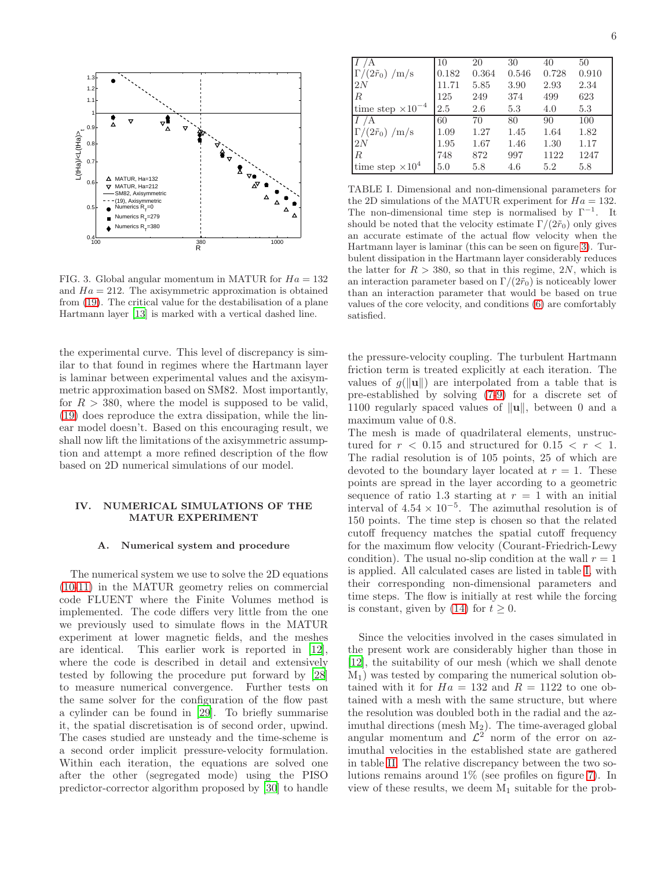

<span id="page-5-1"></span>FIG. 3. Global angular momentum in MATUR for  $Ha = 132$ and  $Ha = 212$ . The axisymmetric approximation is obtained from [\(19\)](#page-4-3). The critical value for the destabilisation of a plane Hartmann layer [\[13](#page-11-13)] is marked with a vertical dashed line.

the experimental curve. This level of discrepancy is similar to that found in regimes where the Hartmann layer is laminar between experimental values and the axisymmetric approximation based on SM82. Most importantly, for  $R > 380$ , where the model is supposed to be valid, [\(19\)](#page-4-3) does reproduce the extra dissipation, while the linear model doesn't. Based on this encouraging result, we shall now lift the limitations of the axisymmetric assumption and attempt a more refined description of the flow based on 2D numerical simulations of our model.

# <span id="page-5-0"></span>IV. NUMERICAL SIMULATIONS OF THE MATUR EXPERIMENT

### A. Numerical system and procedure

The numerical system we use to solve the 2D equations [\(10-11\)](#page-3-2) in the MATUR geometry relies on commercial code FLUENT where the Finite Volumes method is implemented. The code differs very little from the one we previously used to simulate flows in the MATUR experiment at lower magnetic fields, and the meshes are identical. This earlier work is reported in [\[12\]](#page-11-12), where the code is described in detail and extensively tested by following the procedure put forward by [\[28](#page-12-2)] to measure numerical convergence. Further tests on the same solver for the configuration of the flow past a cylinder can be found in [\[29\]](#page-12-3). To briefly summarise it, the spatial discretisation is of second order, upwind. The cases studied are unsteady and the time-scheme is a second order implicit pressure-velocity formulation. Within each iteration, the equations are solved one after the other (segregated mode) using the PISO predictor-corrector algorithm proposed by [\[30\]](#page-12-4) to handle

|                              | 10    | 20    | 30    | 40    | 50    |
|------------------------------|-------|-------|-------|-------|-------|
| $\Gamma/(2\tilde{r}_0)$ /m/s | 0.182 | 0.364 | 0.546 | 0.728 | 0.910 |
| 2N                           | 11.71 | 5.85  | 3.90  | 2.93  | 2.34  |
| $\mathbb{R}$                 | 125   | 249   | 374   | 499   | 623   |
| time step $\times 10^{-4}$   | 2.5   | 2.6   | 5.3   | 4.0   | 5.3   |
| А                            | 60    | 70    | 80    | 90    | 100   |
| $\Gamma/(2\tilde{r}_0)$ /m/s | 1.09  | 1.27  | 1.45  | 1.64  | 1.82  |
| 2N                           | 1.95  | 1.67  | 1.46  | 1.30  | 1.17  |
| $\mathbb{R}$                 | 748   | 872   | 997   | 1122  | 1247  |
| time step $\times 10^4$      | 5.0   | 5.8   | 4.6   | 5.2   | 5.8   |

<span id="page-5-2"></span>TABLE I. Dimensional and non-dimensional parameters for the 2D simulations of the MATUR experiment for  $Ha = 132$ . The non-dimensional time step is normalised by  $\Gamma^{-1}$ . It should be noted that the velocity estimate  $\Gamma/(2\tilde{r}_0)$  only gives an accurate estimate of the actual flow velocity when the Hartmann layer is laminar (this can be seen on figure [3\)](#page-5-1). Turbulent dissipation in the Hartmann layer considerably reduces the latter for  $R > 380$ , so that in this regime, 2N, which is an interaction parameter based on  $\Gamma/(2\tilde{r}_0)$  is noticeably lower than an interaction parameter that would be based on true values of the core velocity, and conditions [\(6\)](#page-2-2) are comfortably satisfied.

the pressure-velocity coupling. The turbulent Hartmann friction term is treated explicitly at each iteration. The values of  $q(\Vert \mathbf{u} \Vert)$  are interpolated from a table that is pre-established by solving [\(7-9\)](#page-2-0) for a discrete set of 1100 regularly spaced values of  $\|\mathbf{u}\|$ , between 0 and a maximum value of 0.8.

The mesh is made of quadrilateral elements, unstructured for  $r < 0.15$  and structured for  $0.15 < r < 1$ . The radial resolution is of 105 points, 25 of which are devoted to the boundary layer located at  $r = 1$ . These points are spread in the layer according to a geometric sequence of ratio 1.3 starting at  $r = 1$  with an initial interval of  $4.54 \times 10^{-5}$ . The azimuthal resolution is of 150 points. The time step is chosen so that the related cutoff frequency matches the spatial cutoff frequency for the maximum flow velocity (Courant-Friedrich-Lewy condition). The usual no-slip condition at the wall  $r = 1$ is applied. All calculated cases are listed in table [I,](#page-5-2) with their corresponding non-dimensional parameters and time steps. The flow is initially at rest while the forcing is constant, given by [\(14\)](#page-4-1) for  $t \geq 0$ .

Since the velocities involved in the cases simulated in the present work are considerably higher than those in [\[12\]](#page-11-12), the suitability of our mesh (which we shall denote  $M_1$ ) was tested by comparing the numerical solution obtained with it for  $Ha = 132$  and  $R = 1122$  to one obtained with a mesh with the same structure, but where the resolution was doubled both in the radial and the azimuthal directions (mesh  $M_2$ ). The time-averaged global angular momentum and  $\mathcal{L}^2$  norm of the error on azimuthal velocities in the established state are gathered in table [II.](#page-6-0) The relative discrepancy between the two solutions remains around 1% (see profiles on figure [7\)](#page-9-0). In view of these results, we deem  $M_1$  suitable for the prob-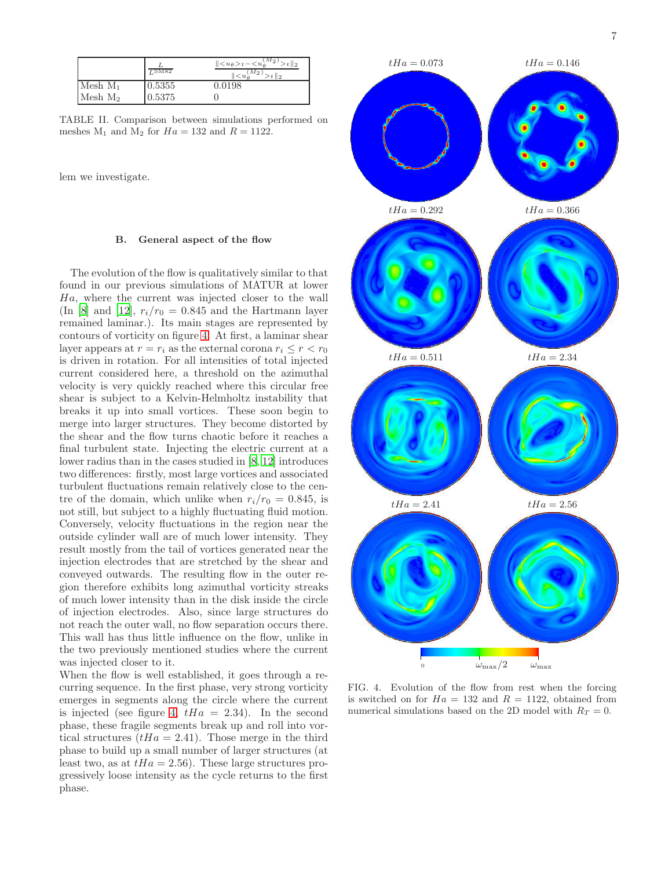|            | $L$ SM82 | $  \leq u_{\theta} > t - \leq u_{\theta}^{\overline{(M_2)}}$<br>$t \parallel_2$<br>$M_{\mathcal{D}}$<br>$t \parallel 2$ |
|------------|----------|-------------------------------------------------------------------------------------------------------------------------|
| Mesh $M_1$ | 0.5355   | 0.0198                                                                                                                  |
| $Mesh M_2$ | 0.5375   |                                                                                                                         |

<span id="page-6-0"></span>TABLE II. Comparison between simulations performed on meshes  $M_1$  and  $M_2$  for  $Ha = 132$  and  $R = 1122$ .

lem we investigate.

# <span id="page-6-2"></span>B. General aspect of the flow

The evolution of the flow is qualitatively similar to that found in our previous simulations of MATUR at lower Ha, where the current was injected closer to the wall (In [\[8\]](#page-11-9) and [\[12](#page-11-12)],  $r_i/r_0 = 0.845$  and the Hartmann layer remained laminar.). Its main stages are represented by contours of vorticity on figure [4.](#page-6-1) At first, a laminar shear layer appears at  $r = r_i$  as the external corona  $r_i \leq r < r_0$ is driven in rotation. For all intensities of total injected current considered here, a threshold on the azimuthal velocity is very quickly reached where this circular free shear is subject to a Kelvin-Helmholtz instability that breaks it up into small vortices. These soon begin to merge into larger structures. They become distorted by the shear and the flow turns chaotic before it reaches a final turbulent state. Injecting the electric current at a lower radius than in the cases studied in [\[8,](#page-11-9) [12\]](#page-11-12) introduces two differences: firstly, most large vortices and associated turbulent fluctuations remain relatively close to the centre of the domain, which unlike when  $r_i/r_0 = 0.845$ , is not still, but subject to a highly fluctuating fluid motion. Conversely, velocity fluctuations in the region near the outside cylinder wall are of much lower intensity. They result mostly from the tail of vortices generated near the injection electrodes that are stretched by the shear and conveyed outwards. The resulting flow in the outer region therefore exhibits long azimuthal vorticity streaks of much lower intensity than in the disk inside the circle of injection electrodes. Also, since large structures do not reach the outer wall, no flow separation occurs there. PSfrag replacements This wall has thus little influence on the flow, unlike in

the two previously mentioned studies where the current was injected closer to it.

When the flow is well established, it goes through a recurring sequence. In the first phase, very strong vorticity emerges in segments along the circle where the current is injected (see figure [4,](#page-6-1)  $tHa = 2.34$ ). In the second phase, these fragile segments break up and roll into vortical structures  $(tHa = 2.41)$ . Those merge in the third phase to build up a small number of larger structures (at least two, as at  $tHa = 2.56$ . These large structures progressively loose intensity as the cycle returns to the first phase.



<span id="page-6-1"></span>FIG. 4. Evolution of the flow from rest when the forcing is switched on for  $Ha = 132$  and  $R = 1122$ , obtained from numerical simulations based on the 2D model with  $R_T = 0$ .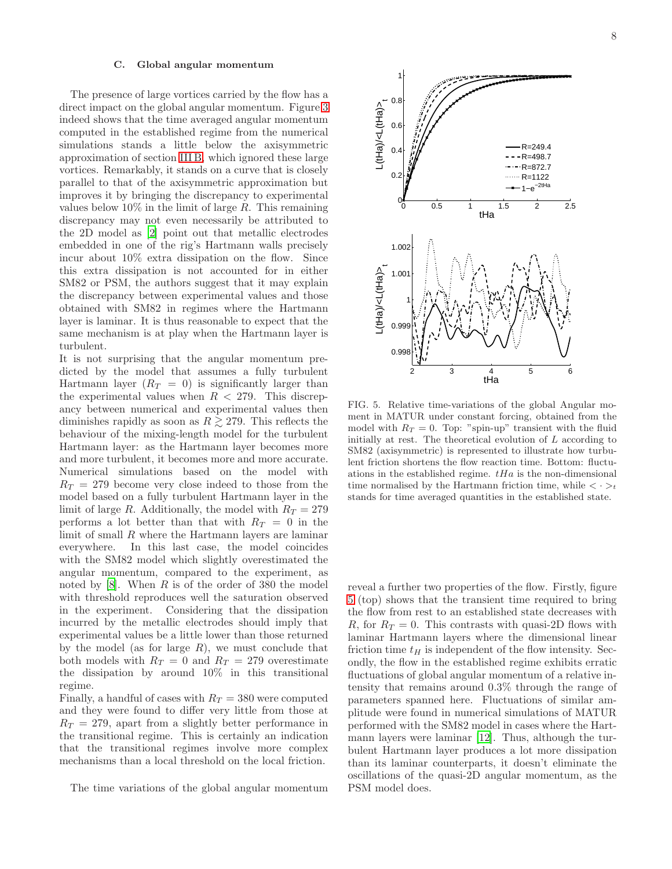### C. Global angular momentum

The presence of large vortices carried by the flow has a direct impact on the global angular momentum. Figure [3](#page-5-1) indeed shows that the time averaged angular momentum computed in the established regime from the numerical simulations stands a little below the axisymmetric approximation of section [III B,](#page-4-4) which ignored these large vortices. Remarkably, it stands on a curve that is closely parallel to that of the axisymmetric approximation but improves it by bringing the discrepancy to experimental values below  $10\%$  in the limit of large R. This remaining discrepancy may not even necessarily be attributed to the 2D model as [\[2](#page-11-1)] point out that metallic electrodes embedded in one of the rig's Hartmann walls precisely incur about 10% extra dissipation on the flow. Since this extra dissipation is not accounted for in either SM82 or PSM, the authors suggest that it may explain the discrepancy between experimental values and those obtained with SM82 in regimes where the Hartmann layer is laminar. It is thus reasonable to expect that the same mechanism is at play when the Hartmann layer is turbulent.

It is not surprising that the angular momentum predicted by the model that assumes a fully turbulent Hartmann layer  $(R_T = 0)$  is significantly larger than the experimental values when  $R < 279$ . This discrepancy between numerical and experimental values then diminishes rapidly as soon as  $R \gtrsim 279$ . This reflects the behaviour of the mixing-length model for the turbulent Hartmann layer: as the Hartmann layer becomes more and more turbulent, it becomes more and more accurate. Numerical simulations based on the model with  $R_T = 279$  become very close indeed to those from the model based on a fully turbulent Hartmann layer in the limit of large R. Additionally, the model with  $R_T = 279$ performs a lot better than that with  $R_T = 0$  in the limit of small R where the Hartmann layers are laminar everywhere. In this last case, the model coincides with the SM82 model which slightly overestimated the angular momentum, compared to the experiment, as noted by  $[8]$ . When R is of the order of 380 the model with threshold reproduces well the saturation observed in the experiment. Considering that the dissipation incurred by the metallic electrodes should imply that experimental values be a little lower than those returned by the model (as for large  $R$ ), we must conclude that both models with  $R_T = 0$  and  $R_T = 279$  overestimate the dissipation by around 10% in this transitional regime.

Finally, a handful of cases with  $R_T = 380$  were computed and they were found to differ very little from those at  $R_T = 279$ , apart from a slightly better performance in the transitional regime. This is certainly an indication that the transitional regimes involve more complex mechanisms than a local threshold on the local friction.

The time variations of the global angular momentum



<span id="page-7-0"></span>FIG. 5. Relative time-variations of the global Angular moment in MATUR under constant forcing, obtained from the model with  $R_T = 0$ . Top: "spin-up" transient with the fluid initially at rest. The theoretical evolution of  $L$  according to SM82 (axisymmetric) is represented to illustrate how turbulent friction shortens the flow reaction time. Bottom: fluctuations in the established regime.  $tHa$  is the non-dimensional time normalised by the Hartmann friction time, while  $\langle \cdot \rangle_t$ stands for time averaged quantities in the established state.

reveal a further two properties of the flow. Firstly, figure [5](#page-7-0) (top) shows that the transient time required to bring the flow from rest to an established state decreases with R, for  $R_T = 0$ . This contrasts with quasi-2D flows with laminar Hartmann layers where the dimensional linear friction time  $t_H$  is independent of the flow intensity. Secondly, the flow in the established regime exhibits erratic fluctuations of global angular momentum of a relative intensity that remains around 0.3% through the range of parameters spanned here. Fluctuations of similar amplitude were found in numerical simulations of MATUR performed with the SM82 model in cases where the Hartmann layers were laminar [\[12\]](#page-11-12). Thus, although the turbulent Hartmann layer produces a lot more dissipation than its laminar counterparts, it doesn't eliminate the oscillations of the quasi-2D angular momentum, as the PSM model does.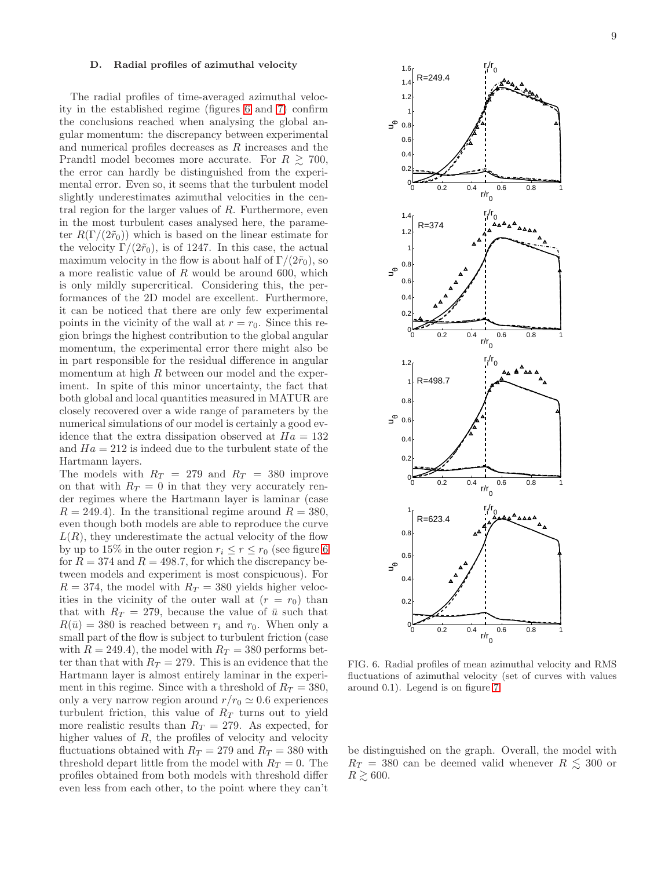### D. Radial profiles of azimuthal velocity

The radial profiles of time-averaged azimuthal velocity in the established regime (figures [6](#page-8-0) and [7\)](#page-9-0) confirm the conclusions reached when analysing the global angular momentum: the discrepancy between experimental and numerical profiles decreases as R increases and the Prandtl model becomes more accurate. For  $R \geq 700$ , the error can hardly be distinguished from the experimental error. Even so, it seems that the turbulent model slightly underestimates azimuthal velocities in the central region for the larger values of  $R$ . Furthermore, even in the most turbulent cases analysed here, the parameter  $R(\Gamma/(2\tilde{r}_0))$  which is based on the linear estimate for the velocity  $\Gamma/(2\tilde{r}_0)$ , is of 1247. In this case, the actual maximum velocity in the flow is about half of  $\Gamma/(2\tilde{r}_0)$ , so a more realistic value of R would be around 600, which is only mildly supercritical. Considering this, the performances of the 2D model are excellent. Furthermore, it can be noticed that there are only few experimental points in the vicinity of the wall at  $r = r_0$ . Since this region brings the highest contribution to the global angular momentum, the experimental error there might also be in part responsible for the residual difference in angular momentum at high R between our model and the experiment. In spite of this minor uncertainty, the fact that both global and local quantities measured in MATUR are closely recovered over a wide range of parameters by the numerical simulations of our model is certainly a good evidence that the extra dissipation observed at  $Ha = 132$ and  $Ha = 212$  is indeed due to the turbulent state of the Hartmann layers.

The models with  $R_T = 279$  and  $R_T = 380$  improve on that with  $R_T = 0$  in that they very accurately render regimes where the Hartmann layer is laminar (case  $R = 249.4$ . In the transitional regime around  $R = 380$ , even though both models are able to reproduce the curve  $L(R)$ , they underestimate the actual velocity of the flow by up to 15% in the outer region  $r_i \le r \le r_0$  (see figure [6](#page-8-0)) for  $R = 374$  and  $R = 498.7$ , for which the discrepancy between models and experiment is most conspicuous). For  $R = 374$ , the model with  $R_T = 380$  yields higher velocities in the vicinity of the outer wall at  $(r = r_0)$  than that with  $R_T = 279$ , because the value of  $\bar{u}$  such that  $R(\bar{u}) = 380$  is reached between  $r_i$  and  $r_0$ . When only a small part of the flow is subject to turbulent friction (case with  $R = 249.4$ , the model with  $R_T = 380$  performs better than that with  $R_T = 279$ . This is an evidence that the Hartmann layer is almost entirely laminar in the experiment in this regime. Since with a threshold of  $R_T = 380$ , only a very narrow region around  $r/r_0 \simeq 0.6$  experiences turbulent friction, this value of  $R_T$  turns out to yield more realistic results than  $R_T = 279$ . As expected, for higher values of  $R$ , the profiles of velocity and velocity fluctuations obtained with  $R_T = 279$  and  $R_T = 380$  with threshold depart little from the model with  $R_T = 0$ . The profiles obtained from both models with threshold differ even less from each other, to the point where they can't



<span id="page-8-0"></span>FIG. 6. Radial profiles of mean azimuthal velocity and RMS fluctuations of azimuthal velocity (set of curves with values around 0.1). Legend is on figure [7.](#page-9-0)

be distinguished on the graph. Overall, the model with  $R_T = 380$  can be deemed valid whenever  $R \lesssim 300$  or  $R \gtrsim 600$ .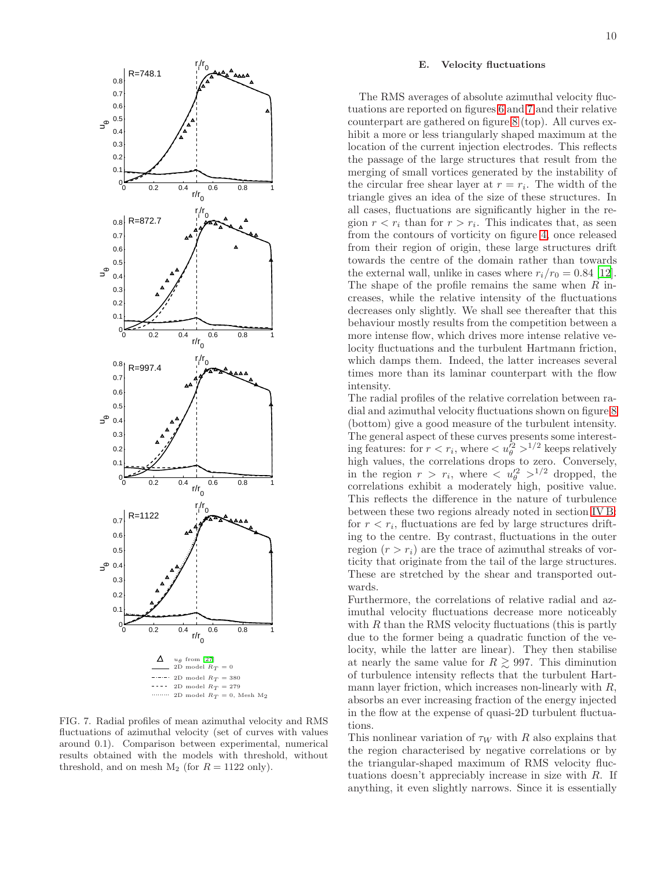

<span id="page-9-0"></span>FIG. 7. Radial profiles of mean azimuthal velocity and RMS fluctuations of azimuthal velocity (set of curves with values around 0.1). Comparison between experimental, numerical results obtained with the models with threshold, without threshold, and on mesh  $M_2$  (for  $R = 1122$  only).

# E. Velocity fluctuations

The RMS averages of absolute azimuthal velocity fluctuations are reported on figures [6](#page-8-0) and [7](#page-9-0) and their relative counterpart are gathered on figure [8](#page-10-0) (top). All curves exhibit a more or less triangularly shaped maximum at the location of the current injection electrodes. This reflects the passage of the large structures that result from the merging of small vortices generated by the instability of the circular free shear layer at  $r = r_i$ . The width of the triangle gives an idea of the size of these structures. In all cases, fluctuations are significantly higher in the region  $r < r_i$  than for  $r > r_i$ . This indicates that, as seen from the contours of vorticity on figure [4,](#page-6-1) once released from their region of origin, these large structures drift towards the centre of the domain rather than towards the external wall, unlike in cases where  $r_i/r_0 = 0.84$  [\[12\]](#page-11-12). The shape of the profile remains the same when  $R$  increases, while the relative intensity of the fluctuations decreases only slightly. We shall see thereafter that this behaviour mostly results from the competition between a more intense flow, which drives more intense relative velocity fluctuations and the turbulent Hartmann friction, which damps them. Indeed, the latter increases several times more than its laminar counterpart with the flow intensity.

The radial profiles of the relative correlation between radial and azimuthal velocity fluctuations shown on figure [8](#page-10-0) (bottom) give a good measure of the turbulent intensity. The general aspect of these curves presents some interesting features: for  $r < r_i$ , where  $\langle u_{\theta}^{\overline{2}} \rangle^{1/2}$  keeps relatively high values, the correlations drops to zero. Conversely, in the region  $r > r_i$ , where  $\langle u_{\theta}^2 \rangle^{1/2}$  dropped, the correlations exhibit a moderately high, positive value. This reflects the difference in the nature of turbulence between these two regions already noted in section [IV B:](#page-6-2) for  $r < r_i$ , fluctuations are fed by large structures drifting to the centre. By contrast, fluctuations in the outer region  $(r > r_i)$  are the trace of azimuthal streaks of vorticity that originate from the tail of the large structures. These are stretched by the shear and transported outwards.

Furthermore, the correlations of relative radial and azimuthal velocity fluctuations decrease more noticeably with  $R$  than the RMS velocity fluctuations (this is partly due to the former being a quadratic function of the velocity, while the latter are linear). They then stabilise at nearly the same value for  $R \geq 997$ . This diminution of turbulence intensity reflects that the turbulent Hartmann layer friction, which increases non-linearly with  $R$ , absorbs an ever increasing fraction of the energy injected in the flow at the expense of quasi-2D turbulent fluctuations.

This nonlinear variation of  $\tau_W$  with R also explains that the region characterised by negative correlations or by the triangular-shaped maximum of RMS velocity fluctuations doesn't appreciably increase in size with R. If anything, it even slightly narrows. Since it is essentially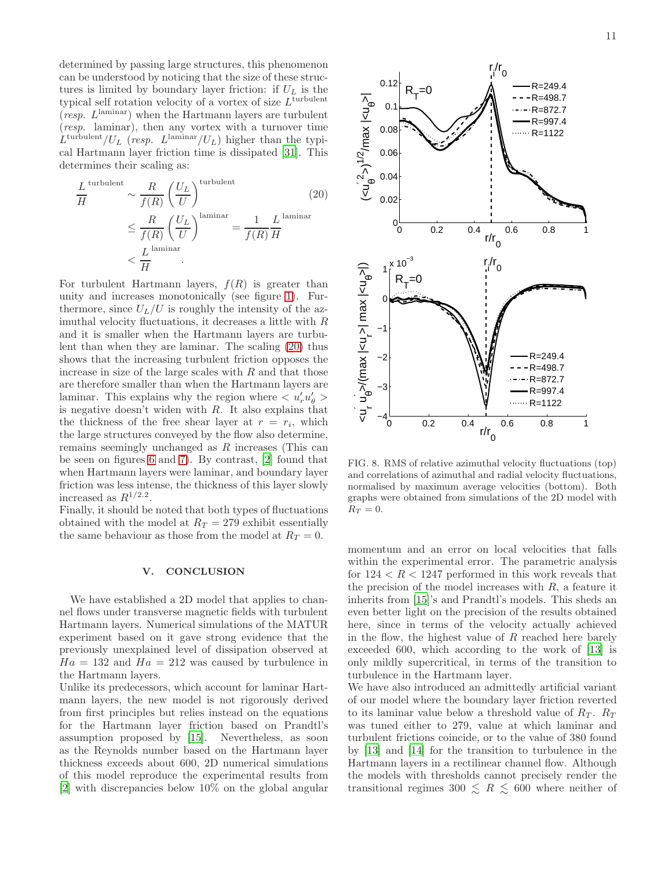determined by passing large structures, this phenomenon can be understood by noticing that the size of these structures is limited by boundary layer friction: if  $U_L$  is the typical self rotation velocity of a vortex of size  $L^{\text{turbulent}}$  $(resp. L<sup>laminar</sup>)$  when the Hartmann layers are turbulent (resp. laminar), then any vortex with a turnover time  $\dot{L}^{\text{turbulent}}/U_L$  (resp.  $L^{\text{laminar}}/U_L$ ) higher than the typical Hartmann layer friction time is dissipated [\[31](#page-12-5)]. This determines their scaling as:

<span id="page-10-1"></span>
$$
\frac{L}{H}^{\text{turbulent}} \sim \frac{R}{f(R)} \left(\frac{U_L}{U}\right)^{\text{turbulent}} \tag{20}
$$
\n
$$
\leq \frac{R}{f(R)} \left(\frac{U_L}{U}\right)^{\text{laminar}} = \frac{1}{f(R)^{\text{b prior}}}
$$
\n
$$
< \frac{L}{H}
$$

For turbulent Hartmann layers,  $f(R)$  is greater than unity and increases monotonically (see figure [1\)](#page-3-1). Furthermore, since  $U_L/U$  is roughly the intensity of the azimuthal velocity fluctuations, it decreases a little with R and it is smaller when the Hartmann layers are turbulent than when they are laminar. The scaling [\(20\)](#page-10-1) thus shows that the increasing turbulent friction opposes the increase in size of the large scales with  $R$  and that those are therefore smaller than when the Hartmann layers are laminar. This explains why the region where  $\langle u'_r u'_\theta \rangle$ is negative doesn't widen with  $R$ . It also explains that the thickness of the free shear layer at  $r_{\text{PSTr\&}}$  replacements the large structures conveyed by the flow also determine, remains seemingly unchanged as R increases (This can be seen on figures [6](#page-8-0) and [7\)](#page-9-0). By contrast, [\[2](#page-11-1)] found that when Hartmann layers were laminar, and boundary layer friction was less intense, the thickness of this layer slowly increased as  $R^{1/2.2}$ .

Finally, it should be noted that both types of fluctuations obtained with the model at  $R_T = 279$  exhibit essentially the same behaviour as those from the model at  $R_T = 0$ .

# V. CONCLUSION

We have established a 2D model that applies to channel flows under transverse magnetic fields with turbulent Hartmann layers. Numerical simulations of the MATUR experiment based on it gave strong evidence that the previously unexplained level of dissipation observed at  $Ha = 132$  and  $Ha = 212$  was caused by turbulence in the Hartmann layers.

Unlike its predecessors, which account for laminar Hartmann layers, the new model is not rigorously derived from first principles but relies instead on the equations for the Hartmann layer friction based on Prandtl's assumption proposed by [\[15\]](#page-11-0). Nevertheless, as soon as the Reynolds number based on the Hartmann layer thickness exceeds about 600, 2D numerical simulations of this model reproduce the experimental results from [\[2\]](#page-11-1) with discrepancies below 10% on the global angular



<span id="page-10-0"></span>FIG. 8. RMS of relative azimuthal velocity fluctuations (top) and correlations of azimuthal and radial velocity fluctuations, normalised by maximum average velocities (bottom). Both graphs were obtained from simulations of the 2D model with  $R_T = 0.$ 

momentum and an error on local velocities that falls within the experimental error. The parametric analysis for  $124 < R < 1247$  performed in this work reveals that the precision of the model increases with  $R$ , a feature it inherits from [\[15](#page-11-0)]'s and Prandtl's models. This sheds an even better light on the precision of the results obtained here, since in terms of the velocity actually achieved in the flow, the highest value of  $R$  reached here barely exceeded 600, which according to the work of [\[13](#page-11-13)] is only mildly supercritical, in terms of the transition to turbulence in the Hartmann layer.

We have also introduced an admittedly artificial variant of our model where the boundary layer friction reverted to its laminar value below a threshold value of  $R_T$ .  $R_T$ was tuned either to 279, value at which laminar and turbulent frictions coincide, or to the value of 380 found by [\[13\]](#page-11-13) and [\[14\]](#page-11-14) for the transition to turbulence in the Hartmann layers in a rectilinear channel flow. Although the models with thresholds cannot precisely render the transitional regimes 300  $\leq R \leq 600$  where neither of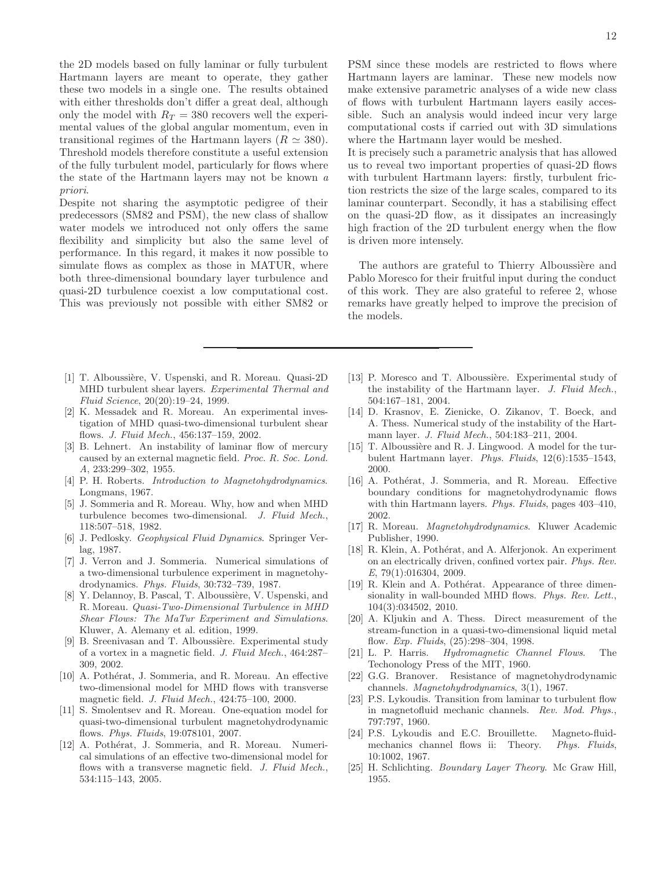the 2D models based on fully laminar or fully turbulent Hartmann layers are meant to operate, they gather these two models in a single one. The results obtained with either thresholds don't differ a great deal, although only the model with  $R_T = 380$  recovers well the experimental values of the global angular momentum, even in transitional regimes of the Hartmann layers ( $R \simeq 380$ ). Threshold models therefore constitute a useful extension of the fully turbulent model, particularly for flows where the state of the Hartmann layers may not be known a priori.

Despite not sharing the asymptotic pedigree of their predecessors (SM82 and PSM), the new class of shallow water models we introduced not only offers the same flexibility and simplicity but also the same level of performance. In this regard, it makes it now possible to simulate flows as complex as those in MATUR, where both three-dimensional boundary layer turbulence and quasi-2D turbulence coexist a low computational cost. This was previously not possible with either SM82 or

- <span id="page-11-11"></span>[1] T. Alboussière, V. Uspenski, and R. Moreau. Quasi-2D MHD turbulent shear layers. *Experimental Thermal and Fluid Science*, 20(20):19–24, 1999.
- <span id="page-11-1"></span>[2] K. Messadek and R. Moreau. An experimental investigation of MHD quasi-two-dimensional turbulent shear flows. *J. Fluid Mech.*, 456:137–159, 2002.
- <span id="page-11-2"></span>[3] B. Lehnert. An instability of laminar flow of mercury caused by an external magnetic field. *Proc. R. Soc. Lond. A*, 233:299–302, 1955.
- <span id="page-11-3"></span>[4] P. H. Roberts. *Introduction to Magnetohydrodynamics*. Longmans, 1967.
- <span id="page-11-4"></span>[5] J. Sommeria and R. Moreau. Why, how and when MHD turbulence becomes two-dimensional. *J. Fluid Mech.*, 118:507–518, 1982.
- <span id="page-11-5"></span>[6] J. Pedlosky. *Geophysical Fluid Dynamics*. Springer Verlag, 1987.
- <span id="page-11-8"></span>[7] J. Verron and J. Sommeria. Numerical simulations of a two-dimensional turbulence experiment in magnetohydrodynamics. *Phys. Fluids*, 30:732–739, 1987.
- <span id="page-11-9"></span>Y. Delannoy, B. Pascal, T. Alboussière, V. Uspenski, and R. Moreau. *Quasi-Two-Dimensional Turbulence in MHD Shear Flows: The MaTur Experiment and Simulations*. Kluwer, A. Alemany et al. edition, 1999.
- <span id="page-11-6"></span>[9] B. Sreenivasan and T. Alboussière. Experimental study of a vortex in a magnetic field. *J. Fluid Mech.*, 464:287– 309, 2002.
- <span id="page-11-7"></span>[10] A. Pothérat, J. Sommeria, and R. Moreau. An effective two-dimensional model for MHD flows with transverse magnetic field. *J. Fluid Mech.*, 424:75–100, 2000.
- <span id="page-11-10"></span>[11] S. Smolentsev and R. Moreau. One-equation model for quasi-two-dimensional turbulent magnetohydrodynamic flows. *Phys. Fluids*, 19:078101, 2007.
- <span id="page-11-12"></span>[12] A. Pothérat, J. Sommeria, and R. Moreau. Numerical simulations of an effective two-dimensional model for flows with a transverse magnetic field. *J. Fluid Mech.*, 534:115–143, 2005.

It is precisely such a parametric analysis that has allowed us to reveal two important properties of quasi-2D flows with turbulent Hartmann layers: firstly, turbulent friction restricts the size of the large scales, compared to its laminar counterpart. Secondly, it has a stabilising effect on the quasi-2D flow, as it dissipates an increasingly high fraction of the 2D turbulent energy when the flow is driven more intensely.

The authors are grateful to Thierry Alboussière and Pablo Moresco for their fruitful input during the conduct of this work. They are also grateful to referee 2, whose remarks have greatly helped to improve the precision of the models.

- <span id="page-11-13"></span>[13] P. Moresco and T. Alboussière. Experimental study of the instability of the Hartmann layer. *J. Fluid Mech.*, 504:167–181, 2004.
- <span id="page-11-14"></span>[14] D. Krasnov, E. Zienicke, O. Zikanov, T. Boeck, and A. Thess. Numerical study of the instability of the Hartmann layer. *J. Fluid Mech.*, 504:183–211, 2004.
- <span id="page-11-0"></span>[15] T. Alboussière and R. J. Lingwood. A model for the turbulent Hartmann layer. *Phys. Fluids*, 12(6):1535–1543, 2000.
- <span id="page-11-15"></span>[16] A. Pothérat, J. Sommeria, and R. Moreau. Effective boundary conditions for magnetohydrodynamic flows with thin Hartmann layers. *Phys. Fluids*, pages 403–410, 2002.
- <span id="page-11-16"></span>[17] R. Moreau. *Magnetohydrodynamics*. Kluwer Academic Publisher, 1990.
- <span id="page-11-17"></span>[18] R. Klein, A. Pothérat, and A. Alferjonok. An experiment on an electrically driven, confined vortex pair. *Phys. Rev. E*, 79(1):016304, 2009.
- <span id="page-11-18"></span>[19] R. Klein and A. Pothérat. Appearance of three dimensionality in wall-bounded MHD flows. *Phys. Rev. Lett.*, 104(3):034502, 2010.
- <span id="page-11-19"></span>[20] A. Kljukin and A. Thess. Direct measurement of the stream-function in a quasi-two-dimensional liquid metal flow. *Exp. Fluids*, (25):298–304, 1998.
- <span id="page-11-20"></span>[21] L. P. Harris. *Hydromagnetic Channel Flows*. The Techonology Press of the MIT, 1960.
- <span id="page-11-21"></span>[22] G.G. Branover. Resistance of magnetohydrodynamic channels. *Magnetohydrodynamics*, 3(1), 1967.
- <span id="page-11-22"></span>[23] P.S. Lykoudis. Transition from laminar to turbulent flow in magnetofluid mechanic channels. *Rev. Mod. Phys.*, 797:797, 1960.
- <span id="page-11-23"></span>[24] P.S. Lykoudis and E.C. Brouillette. Magneto-fluidmechanics channel flows ii: Theory. *Phys. Fluids*, 10:1002, 1967.
- <span id="page-11-24"></span>[25] H. Schlichting. *Boundary Layer Theory*. Mc Graw Hill, 1955.